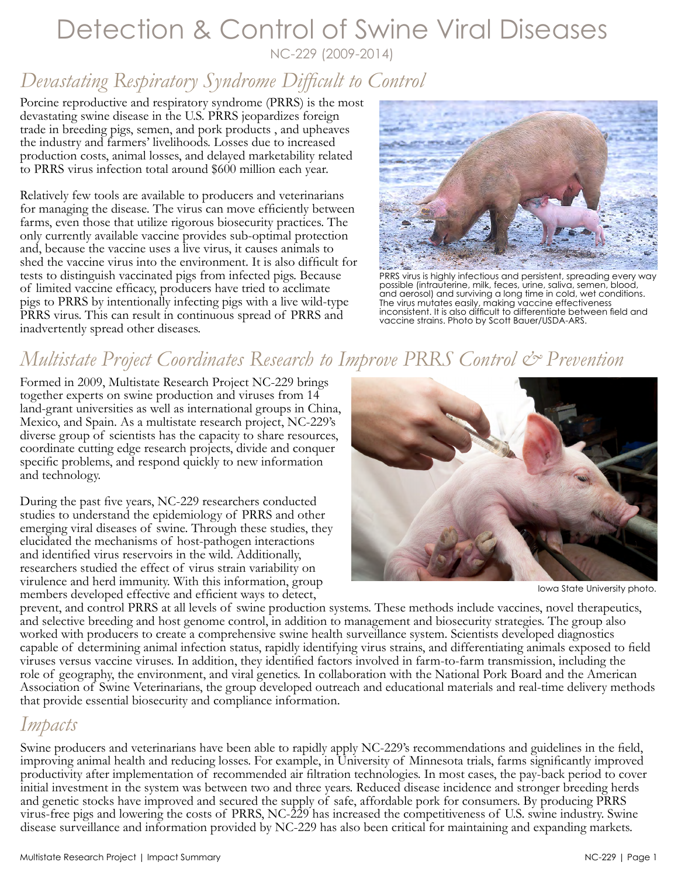#### Detection & Control of Swine Viral Diseases NC-229 (2009-2014)

### *Devastating Respiratory Syndrome Difficult to Control*

Porcine reproductive and respiratory syndrome (PRRS) is the most devastating swine disease in the U.S. PRRS jeopardizes foreign trade in breeding pigs, semen, and pork products , and upheaves the industry and farmers' livelihoods. Losses due to increased production costs, animal losses, and delayed marketability related to PRRS virus infection total around \$600 million each year.

Relatively few tools are available to producers and veterinarians for managing the disease. The virus can move efficiently between farms, even those that utilize rigorous biosecurity practices. The only currently available vaccine provides sub-optimal protection and, because the vaccine uses a live virus, it causes animals to shed the vaccine virus into the environment. It is also difficult for tests to distinguish vaccinated pigs from infected pigs. Because of limited vaccine efficacy, producers have tried to acclimate pigs to PRRS by intentionally infecting pigs with a live wild-type PRRS virus. This can result in continuous spread of PRRS and inadvertently spread other diseases.



PRRS virus is highly infectious and persistent, spreading every way possible (intrauterine, milk, feces, urine, saliva, semen, blood, and aerosol) and surviving a long time in cold, wet conditions. The virus mutates easily, making vaccine effectiveness inconsistent. It is also difficult to differentiate between field and vaccine strains. Photo by Scott Bauer/USDA-ARS.

# *Multistate Project Coordinates Research to Improve PRRS Control & Prevention*

Formed in 2009, Multistate Research Project NC-229 brings together experts on swine production and viruses from 14 land-grant universities as well as international groups in China, Mexico, and Spain. As a multistate research project, NC-229's diverse group of scientists has the capacity to share resources, coordinate cutting edge research projects, divide and conquer specific problems, and respond quickly to new information and technology.

During the past five years, NC-229 researchers conducted studies to understand the epidemiology of PRRS and other emerging viral diseases of swine. Through these studies, they elucidated the mechanisms of host-pathogen interactions and identified virus reservoirs in the wild. Additionally, researchers studied the effect of virus strain variability on virulence and herd immunity. With this information, group members developed effective and efficient ways to detect,



Iowa State University photo.

prevent, and control PRRS at all levels of swine production systems. These methods include vaccines, novel therapeutics, and selective breeding and host genome control, in addition to management and biosecurity strategies. The group also worked with producers to create a comprehensive swine health surveillance system. Scientists developed diagnostics capable of determining animal infection status, rapidly identifying virus strains, and differentiating animals exposed to field viruses versus vaccine viruses. In addition, they identified factors involved in farm-to-farm transmission, including the role of geography, the environment, and viral genetics. In collaboration with the National Pork Board and the American Association of Swine Veterinarians, the group developed outreach and educational materials and real-time delivery methods that provide essential biosecurity and compliance information.

#### *Impacts*

Swine producers and veterinarians have been able to rapidly apply NC-229's recommendations and guidelines in the field, improving animal health and reducing losses. For example, in University of Minnesota trials, farms significantly improved productivity after implementation of recommended air filtration technologies. In most cases, the pay-back period to cover initial investment in the system was between two and three years. Reduced disease incidence and stronger breeding herds and genetic stocks have improved and secured the supply of safe, affordable pork for consumers. By producing PRRS virus-free pigs and lowering the costs of PRRS, NC-229 has increased the competitiveness of U.S. swine industry. Swine disease surveillance and information provided by NC-229 has also been critical for maintaining and expanding markets.